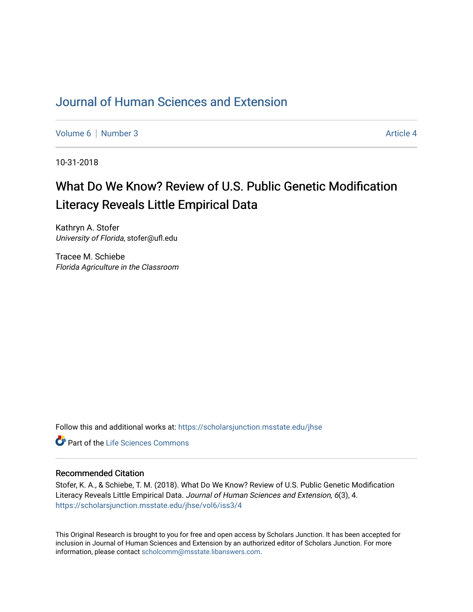# [Journal of Human Sciences and Extension](https://scholarsjunction.msstate.edu/jhse)

[Volume 6](https://scholarsjunction.msstate.edu/jhse/vol6) | [Number 3](https://scholarsjunction.msstate.edu/jhse/vol6/iss3) Article 4

10-31-2018

# What Do We Know? Review of U.S. Public Genetic Modification Literacy Reveals Little Empirical Data

Kathryn A. Stofer University of Florida, stofer@ufl.edu

Tracee M. Schiebe Florida Agriculture in the Classroom

Follow this and additional works at: [https://scholarsjunction.msstate.edu/jhse](https://scholarsjunction.msstate.edu/jhse?utm_source=scholarsjunction.msstate.edu%2Fjhse%2Fvol6%2Fiss3%2F4&utm_medium=PDF&utm_campaign=PDFCoverPages)

**C** Part of the Life Sciences Commons

#### Recommended Citation

Stofer, K. A., & Schiebe, T. M. (2018). What Do We Know? Review of U.S. Public Genetic Modification Literacy Reveals Little Empirical Data. Journal of Human Sciences and Extension, 6(3), 4. [https://scholarsjunction.msstate.edu/jhse/vol6/iss3/4](https://scholarsjunction.msstate.edu/jhse/vol6/iss3/4?utm_source=scholarsjunction.msstate.edu%2Fjhse%2Fvol6%2Fiss3%2F4&utm_medium=PDF&utm_campaign=PDFCoverPages)

This Original Research is brought to you for free and open access by Scholars Junction. It has been accepted for inclusion in Journal of Human Sciences and Extension by an authorized editor of Scholars Junction. For more information, please contact [scholcomm@msstate.libanswers.com](mailto:scholcomm@msstate.libanswers.com).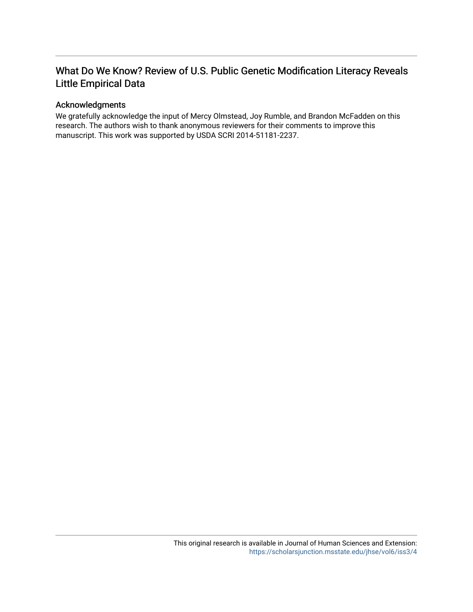# What Do We Know? Review of U.S. Public Genetic Modification Literacy Reveals Little Empirical Data

#### Acknowledgments

We gratefully acknowledge the input of Mercy Olmstead, Joy Rumble, and Brandon McFadden on this research. The authors wish to thank anonymous reviewers for their comments to improve this manuscript. This work was supported by USDA SCRI 2014-51181-2237.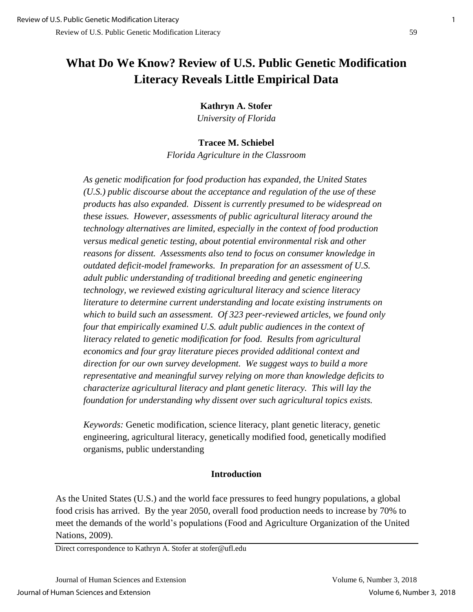# **What Do We Know? Review of U.S. Public Genetic Modification Literacy Reveals Little Empirical Data**

**Kathryn A. Stofer**

*University of Florida*

#### **Tracee M. Schiebel**

*Florida Agriculture in the Classroom*

*As genetic modification for food production has expanded, the United States (U.S.) public discourse about the acceptance and regulation of the use of these products has also expanded. Dissent is currently presumed to be widespread on these issues. However, assessments of public agricultural literacy around the technology alternatives are limited, especially in the context of food production versus medical genetic testing, about potential environmental risk and other reasons for dissent. Assessments also tend to focus on consumer knowledge in outdated deficit-model frameworks. In preparation for an assessment of U.S. adult public understanding of traditional breeding and genetic engineering technology, we reviewed existing agricultural literacy and science literacy literature to determine current understanding and locate existing instruments on which to build such an assessment. Of 323 peer-reviewed articles, we found only four that empirically examined U.S. adult public audiences in the context of literacy related to genetic modification for food. Results from agricultural economics and four gray literature pieces provided additional context and direction for our own survey development. We suggest ways to build a more representative and meaningful survey relying on more than knowledge deficits to characterize agricultural literacy and plant genetic literacy. This will lay the foundation for understanding why dissent over such agricultural topics exists.*

*Keywords:* Genetic modification, science literacy, plant genetic literacy, genetic engineering, agricultural literacy, genetically modified food, genetically modified organisms, public understanding

### **Introduction**

As the United States (U.S.) and the world face pressures to feed hungry populations, a global food crisis has arrived. By the year 2050, overall food production needs to increase by 70% to meet the demands of the world's populations (Food and Agriculture Organization of the United Nations, 2009).

Direct correspondence to Kathryn A. Stofer at stofer@ufl.edu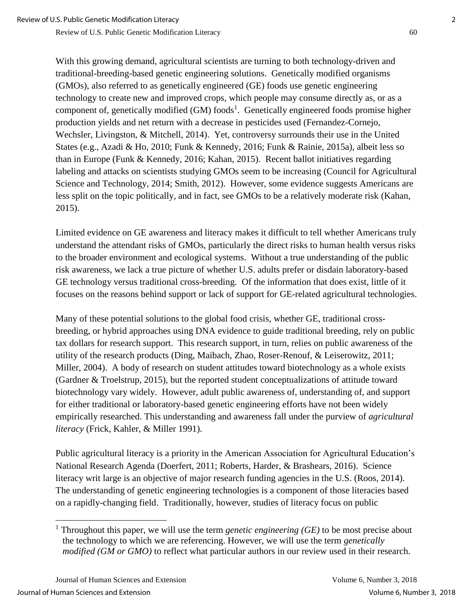With this growing demand, agricultural scientists are turning to both technology-driven and traditional-breeding-based genetic engineering solutions. Genetically modified organisms (GMOs), also referred to as genetically engineered (GE) foods use genetic engineering technology to create new and improved crops, which people may consume directly as, or as a component of, genetically modified (GM) foods<sup>1</sup>. Genetically engineered foods promise higher production yields and net return with a decrease in pesticides used (Fernandez-Cornejo, Wechsler, Livingston, & Mitchell, 2014). Yet, controversy surrounds their use in the United States (e.g., Azadi & Ho, 2010; Funk & Kennedy, 2016; Funk & Rainie, 2015a), albeit less so than in Europe (Funk & Kennedy, 2016; Kahan, 2015). Recent ballot initiatives regarding labeling and attacks on scientists studying GMOs seem to be increasing (Council for Agricultural Science and Technology, 2014; Smith, 2012). However, some evidence suggests Americans are less split on the topic politically, and in fact, see GMOs to be a relatively moderate risk (Kahan, 2015).

Limited evidence on GE awareness and literacy makes it difficult to tell whether Americans truly understand the attendant risks of GMOs, particularly the direct risks to human health versus risks to the broader environment and ecological systems. Without a true understanding of the public risk awareness, we lack a true picture of whether U.S. adults prefer or disdain laboratory-based GE technology versus traditional cross-breeding. Of the information that does exist, little of it focuses on the reasons behind support or lack of support for GE-related agricultural technologies.

Many of these potential solutions to the global food crisis, whether GE, traditional crossbreeding, or hybrid approaches using DNA evidence to guide traditional breeding, rely on public tax dollars for research support. This research support, in turn, relies on public awareness of the utility of the research products (Ding, Maibach, Zhao, Roser-Renouf, & Leiserowitz, 2011; Miller, 2004). A body of research on student attitudes toward biotechnology as a whole exists (Gardner & Troelstrup, 2015), but the reported student conceptualizations of attitude toward biotechnology vary widely. However, adult public awareness of, understanding of, and support for either traditional or laboratory-based genetic engineering efforts have not been widely empirically researched. This understanding and awareness fall under the purview of *agricultural literacy* (Frick, Kahler, & Miller 1991).

Public agricultural literacy is a priority in the American Association for Agricultural Education's National Research Agenda (Doerfert, 2011; Roberts, Harder, & Brashears, 2016). Science literacy writ large is an objective of major research funding agencies in the U.S. (Roos, 2014). The understanding of genetic engineering technologies is a component of those literacies based on a rapidly-changing field. Traditionally, however, studies of literacy focus on public

l

<sup>1</sup> Throughout this paper, we will use the term *genetic engineering (GE)* to be most precise about the technology to which we are referencing. However, we will use the term *genetically modified (GM or GMO)* to reflect what particular authors in our review used in their research.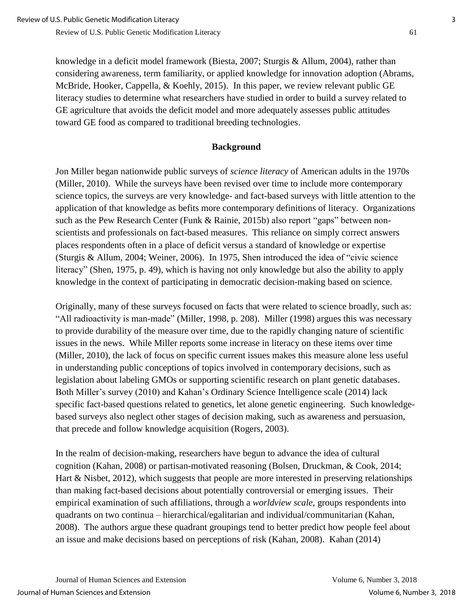knowledge in a deficit model framework (Biesta, 2007; Sturgis & Allum, 2004), rather than considering awareness, term familiarity, or applied knowledge for innovation adoption (Abrams, McBride, Hooker, Cappella, & Koehly, 2015). In this paper, we review relevant public GE literacy studies to determine what researchers have studied in order to build a survey related to GE agriculture that avoids the deficit model and more adequately assesses public attitudes toward GE food as compared to traditional breeding technologies.

# **Background**

Jon Miller began nationwide public surveys of *science literacy* of American adults in the 1970s (Miller, 2010). While the surveys have been revised over time to include more contemporary science topics, the surveys are very knowledge- and fact-based surveys with little attention to the application of that knowledge as befits more contemporary definitions of literacy. Organizations such as the Pew Research Center (Funk & Rainie, 2015b) also report "gaps" between nonscientists and professionals on fact-based measures. This reliance on simply correct answers places respondents often in a place of deficit versus a standard of knowledge or expertise (Sturgis & Allum, 2004; Weiner, 2006). In 1975, Shen introduced the idea of "civic science literacy" (Shen, 1975, p. 49), which is having not only knowledge but also the ability to apply knowledge in the context of participating in democratic decision-making based on science.

Originally, many of these surveys focused on facts that were related to science broadly, such as: "All radioactivity is man-made" (Miller, 1998, p. 208). Miller (1998) argues this was necessary to provide durability of the measure over time, due to the rapidly changing nature of scientific issues in the news. While Miller reports some increase in literacy on these items over time (Miller, 2010), the lack of focus on specific current issues makes this measure alone less useful in understanding public conceptions of topics involved in contemporary decisions, such as legislation about labeling GMOs or supporting scientific research on plant genetic databases. Both Miller's survey (2010) and Kahan's Ordinary Science Intelligence scale (2014) lack specific fact-based questions related to genetics, let alone genetic engineering. Such knowledgebased surveys also neglect other stages of decision making, such as awareness and persuasion, that precede and follow knowledge acquisition (Rogers, 2003).

In the realm of decision-making, researchers have begun to advance the idea of cultural cognition (Kahan, 2008) or partisan-motivated reasoning (Bolsen, Druckman, & Cook, 2014; Hart & Nisbet, 2012), which suggests that people are more interested in preserving relationships than making fact-based decisions about potentially controversial or emerging issues. Their empirical examination of such affiliations, through a *worldview scale*, groups respondents into quadrants on two continua – hierarchical/egalitarian and individual/communitarian (Kahan, 2008). The authors argue these quadrant groupings tend to better predict how people feel about an issue and make decisions based on perceptions of risk (Kahan, 2008). Kahan (2014)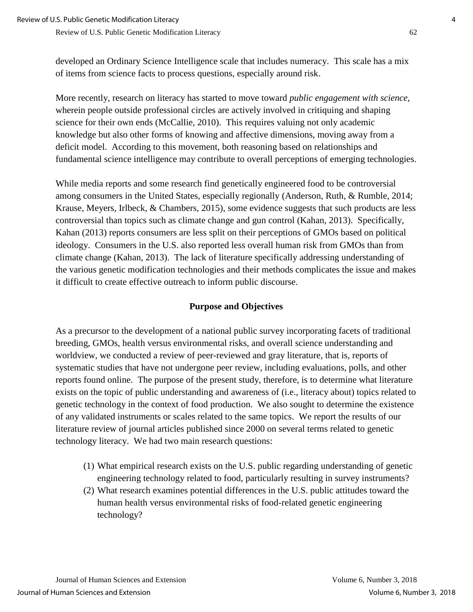developed an Ordinary Science Intelligence scale that includes numeracy. This scale has a mix of items from science facts to process questions, especially around risk.

More recently, research on literacy has started to move toward *public engagement with science*, wherein people outside professional circles are actively involved in critiquing and shaping science for their own ends (McCallie, 2010). This requires valuing not only academic knowledge but also other forms of knowing and affective dimensions, moving away from a deficit model. According to this movement, both reasoning based on relationships and fundamental science intelligence may contribute to overall perceptions of emerging technologies.

While media reports and some research find genetically engineered food to be controversial among consumers in the United States, especially regionally (Anderson, Ruth, & Rumble, 2014; Krause, Meyers, Irlbeck, & Chambers, 2015), some evidence suggests that such products are less controversial than topics such as climate change and gun control (Kahan, 2013). Specifically, Kahan (2013) reports consumers are less split on their perceptions of GMOs based on political ideology. Consumers in the U.S. also reported less overall human risk from GMOs than from climate change (Kahan, 2013). The lack of literature specifically addressing understanding of the various genetic modification technologies and their methods complicates the issue and makes it difficult to create effective outreach to inform public discourse.

### **Purpose and Objectives**

As a precursor to the development of a national public survey incorporating facets of traditional breeding, GMOs, health versus environmental risks, and overall science understanding and worldview, we conducted a review of peer-reviewed and gray literature, that is, reports of systematic studies that have not undergone peer review, including evaluations, polls, and other reports found online. The purpose of the present study, therefore, is to determine what literature exists on the topic of public understanding and awareness of (i.e., literacy about) topics related to genetic technology in the context of food production. We also sought to determine the existence of any validated instruments or scales related to the same topics. We report the results of our literature review of journal articles published since 2000 on several terms related to genetic technology literacy. We had two main research questions:

- (1) What empirical research exists on the U.S. public regarding understanding of genetic engineering technology related to food, particularly resulting in survey instruments?
- (2) What research examines potential differences in the U.S. public attitudes toward the human health versus environmental risks of food-related genetic engineering technology?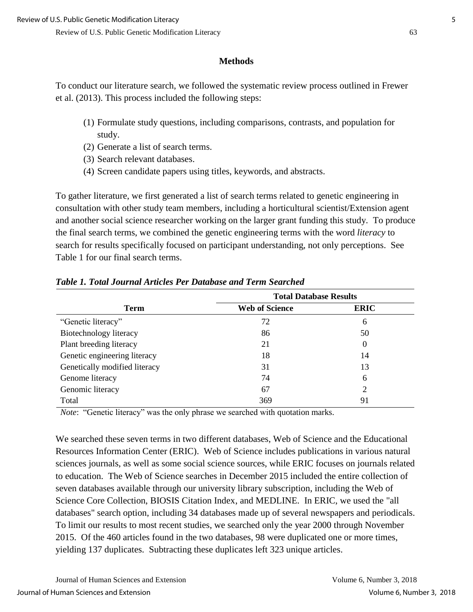#### **Methods**

To conduct our literature search, we followed the systematic review process outlined in Frewer et al. (2013). This process included the following steps:

- (1) Formulate study questions, including comparisons, contrasts, and population for study.
- (2) Generate a list of search terms.
- (3) Search relevant databases.
- (4) Screen candidate papers using titles, keywords, and abstracts.

To gather literature, we first generated a list of search terms related to genetic engineering in consultation with other study team members, including a horticultural scientist/Extension agent and another social science researcher working on the larger grant funding this study. To produce the final search terms, we combined the genetic engineering terms with the word *literacy* to search for results specifically focused on participant understanding, not only perceptions. See Table 1 for our final search terms.

|                               | <b>Total Database Results</b> |             |  |  |
|-------------------------------|-------------------------------|-------------|--|--|
| <b>Term</b>                   | <b>Web of Science</b>         | <b>ERIC</b> |  |  |
| "Genetic literacy"            | 72                            | 6           |  |  |
| Biotechnology literacy        | 86                            | 50          |  |  |
| Plant breeding literacy       | 21                            | 0           |  |  |
| Genetic engineering literacy  | 18                            | 14          |  |  |
| Genetically modified literacy | 31                            | 13          |  |  |
| Genome literacy               | 74                            | 6           |  |  |
| Genomic literacy              | 67                            | 2           |  |  |
| Total                         | 369                           | 91          |  |  |

*Table 1. Total Journal Articles Per Database and Term Searched*

*Note*: "Genetic literacy" was the only phrase we searched with quotation marks.

We searched these seven terms in two different databases, Web of Science and the Educational Resources Information Center (ERIC). Web of Science includes publications in various natural sciences journals, as well as some social science sources, while ERIC focuses on journals related to education. The Web of Science searches in December 2015 included the entire collection of seven databases available through our university library subscription, including the Web of Science Core Collection, BIOSIS Citation Index, and MEDLINE. In ERIC, we used the "all databases" search option, including 34 databases made up of several newspapers and periodicals. To limit our results to most recent studies, we searched only the year 2000 through November 2015. Of the 460 articles found in the two databases, 98 were duplicated one or more times, yielding 137 duplicates. Subtracting these duplicates left 323 unique articles.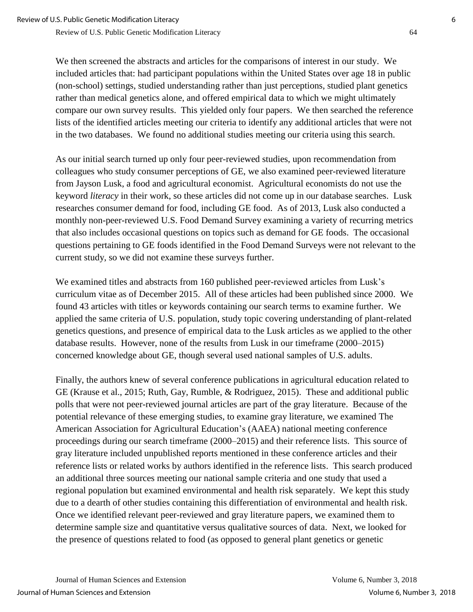We then screened the abstracts and articles for the comparisons of interest in our study. We included articles that: had participant populations within the United States over age 18 in public (non-school) settings, studied understanding rather than just perceptions, studied plant genetics rather than medical genetics alone, and offered empirical data to which we might ultimately compare our own survey results. This yielded only four papers. We then searched the reference lists of the identified articles meeting our criteria to identify any additional articles that were not in the two databases. We found no additional studies meeting our criteria using this search.

As our initial search turned up only four peer-reviewed studies, upon recommendation from colleagues who study consumer perceptions of GE, we also examined peer-reviewed literature from Jayson Lusk, a food and agricultural economist. Agricultural economists do not use the keyword *literacy* in their work, so these articles did not come up in our database searches. Lusk researches consumer demand for food, including GE food. As of 2013, Lusk also conducted a monthly non-peer-reviewed U.S. Food Demand Survey examining a variety of recurring metrics that also includes occasional questions on topics such as demand for GE foods. The occasional questions pertaining to GE foods identified in the Food Demand Surveys were not relevant to the current study, so we did not examine these surveys further.

We examined titles and abstracts from 160 published peer-reviewed articles from Lusk's curriculum vitae as of December 2015. All of these articles had been published since 2000. We found 43 articles with titles or keywords containing our search terms to examine further. We applied the same criteria of U.S. population, study topic covering understanding of plant-related genetics questions, and presence of empirical data to the Lusk articles as we applied to the other database results. However, none of the results from Lusk in our timeframe (2000–2015) concerned knowledge about GE, though several used national samples of U.S. adults.

Finally, the authors knew of several conference publications in agricultural education related to GE (Krause et al., 2015; Ruth, Gay, Rumble, & Rodriguez, 2015). These and additional public polls that were not peer-reviewed journal articles are part of the gray literature. Because of the potential relevance of these emerging studies, to examine gray literature, we examined The American Association for Agricultural Education's (AAEA) national meeting conference proceedings during our search timeframe (2000–2015) and their reference lists. This source of gray literature included unpublished reports mentioned in these conference articles and their reference lists or related works by authors identified in the reference lists. This search produced an additional three sources meeting our national sample criteria and one study that used a regional population but examined environmental and health risk separately. We kept this study due to a dearth of other studies containing this differentiation of environmental and health risk. Once we identified relevant peer-reviewed and gray literature papers, we examined them to determine sample size and quantitative versus qualitative sources of data. Next, we looked for the presence of questions related to food (as opposed to general plant genetics or genetic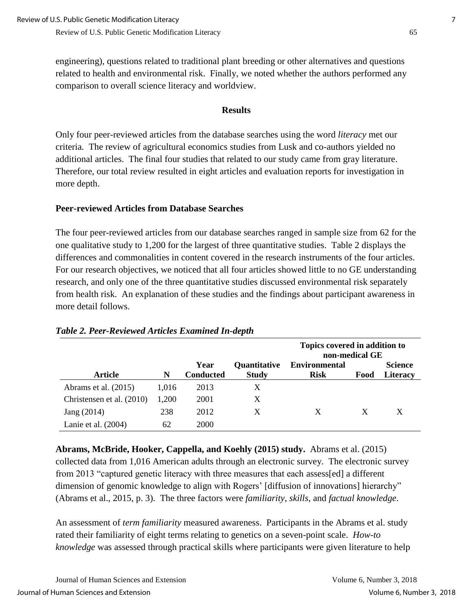engineering), questions related to traditional plant breeding or other alternatives and questions related to health and environmental risk. Finally, we noted whether the authors performed any comparison to overall science literacy and worldview.

#### **Results**

Only four peer-reviewed articles from the database searches using the word *literacy* met our criteria. The review of agricultural economics studies from Lusk and co-authors yielded no additional articles. The final four studies that related to our study came from gray literature. Therefore, our total review resulted in eight articles and evaluation reports for investigation in more depth.

### **Peer-reviewed Articles from Database Searches**

The four peer-reviewed articles from our database searches ranged in sample size from 62 for the one qualitative study to 1,200 for the largest of three quantitative studies. Table 2 displays the differences and commonalities in content covered in the research instruments of the four articles. For our research objectives, we noticed that all four articles showed little to no GE understanding research, and only one of the three quantitative studies discussed environmental risk separately from health risk. An explanation of these studies and the findings about participant awareness in more detail follows.

|                           |       |                  |                     | Topics covered in addition to |      |                |
|---------------------------|-------|------------------|---------------------|-------------------------------|------|----------------|
|                           |       |                  |                     | non-medical GE                |      |                |
|                           |       | Year             | <b>Quantitative</b> | <b>Environmental</b>          |      | <b>Science</b> |
| <b>Article</b>            | N     | <b>Conducted</b> | <b>Study</b>        | <b>Risk</b>                   | Food | Literacy       |
| Abrams et al. (2015)      | 1.016 | 2013             | X                   |                               |      |                |
| Christensen et al. (2010) | 1,200 | 2001             | X                   |                               |      |                |
| Jang $(2014)$             | 238   | 2012             | X                   | X                             | X    | X              |
| Lanie et al. (2004)       | 62    | 2000             |                     |                               |      |                |

#### *Table 2. Peer-Reviewed Articles Examined In-depth*

**Abrams, McBride, Hooker, Cappella, and Koehly (2015) study.** Abrams et al. (2015) collected data from 1,016 American adults through an electronic survey. The electronic survey from 2013 "captured genetic literacy with three measures that each assess[ed] a different dimension of genomic knowledge to align with Rogers' [diffusion of innovations] hierarchy" (Abrams et al., 2015, p. 3). The three factors were *familiarity*, *skills*, and *factual knowledge*.

An assessment of *term familiarity* measured awareness. Participants in the Abrams et al. study rated their familiarity of eight terms relating to genetics on a seven-point scale. *How-to knowledge* was assessed through practical skills where participants were given literature to help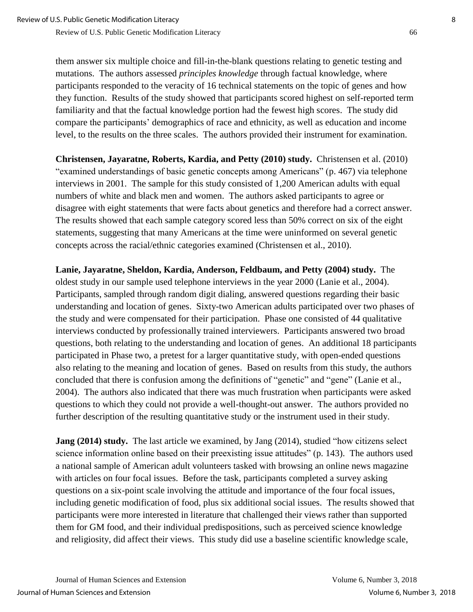them answer six multiple choice and fill-in-the-blank questions relating to genetic testing and mutations. The authors assessed *principles knowledge* through factual knowledge, where participants responded to the veracity of 16 technical statements on the topic of genes and how they function. Results of the study showed that participants scored highest on self-reported term familiarity and that the factual knowledge portion had the fewest high scores. The study did compare the participants' demographics of race and ethnicity, as well as education and income level, to the results on the three scales. The authors provided their instrument for examination.

**Christensen, Jayaratne, Roberts, Kardia, and Petty (2010) study.** Christensen et al. (2010) "examined understandings of basic genetic concepts among Americans" (p. 467) via telephone interviews in 2001. The sample for this study consisted of 1,200 American adults with equal numbers of white and black men and women. The authors asked participants to agree or disagree with eight statements that were facts about genetics and therefore had a correct answer. The results showed that each sample category scored less than 50% correct on six of the eight statements, suggesting that many Americans at the time were uninformed on several genetic concepts across the racial/ethnic categories examined (Christensen et al., 2010).

**Lanie, Jayaratne, Sheldon, Kardia, Anderson, Feldbaum, and Petty (2004) study.** The oldest study in our sample used telephone interviews in the year 2000 (Lanie et al., 2004). Participants, sampled through random digit dialing, answered questions regarding their basic understanding and location of genes. Sixty-two American adults participated over two phases of the study and were compensated for their participation. Phase one consisted of 44 qualitative interviews conducted by professionally trained interviewers. Participants answered two broad questions, both relating to the understanding and location of genes. An additional 18 participants participated in Phase two, a pretest for a larger quantitative study, with open-ended questions also relating to the meaning and location of genes. Based on results from this study, the authors concluded that there is confusion among the definitions of "genetic" and "gene" (Lanie et al., 2004). The authors also indicated that there was much frustration when participants were asked questions to which they could not provide a well-thought-out answer. The authors provided no further description of the resulting quantitative study or the instrument used in their study.

**Jang (2014) study.** The last article we examined, by Jang (2014), studied "how citizens select science information online based on their preexisting issue attitudes" (p. 143). The authors used a national sample of American adult volunteers tasked with browsing an online news magazine with articles on four focal issues. Before the task, participants completed a survey asking questions on a six-point scale involving the attitude and importance of the four focal issues, including genetic modification of food, plus six additional social issues. The results showed that participants were more interested in literature that challenged their views rather than supported them for GM food, and their individual predispositions, such as perceived science knowledge and religiosity, did affect their views. This study did use a baseline scientific knowledge scale,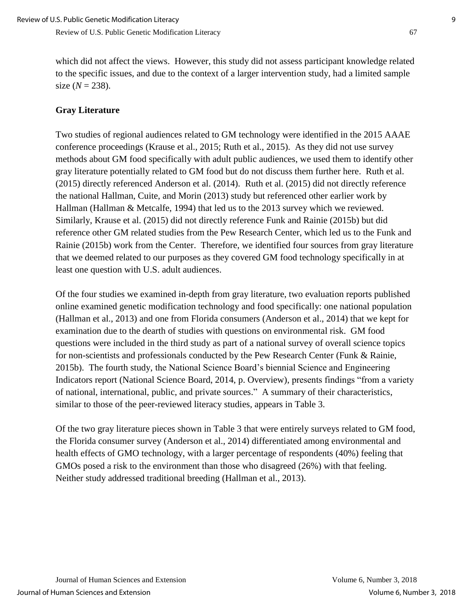which did not affect the views. However, this study did not assess participant knowledge related to the specific issues, and due to the context of a larger intervention study, had a limited sample  $size (N = 238)$ .

# **Gray Literature**

Two studies of regional audiences related to GM technology were identified in the 2015 AAAE conference proceedings (Krause et al., 2015; Ruth et al., 2015). As they did not use survey methods about GM food specifically with adult public audiences, we used them to identify other gray literature potentially related to GM food but do not discuss them further here. Ruth et al. (2015) directly referenced Anderson et al. (2014). Ruth et al. (2015) did not directly reference the national Hallman, Cuite, and Morin (2013) study but referenced other earlier work by Hallman (Hallman & Metcalfe, 1994) that led us to the 2013 survey which we reviewed. Similarly, Krause et al. (2015) did not directly reference Funk and Rainie (2015b) but did reference other GM related studies from the Pew Research Center, which led us to the Funk and Rainie (2015b) work from the Center. Therefore, we identified four sources from gray literature that we deemed related to our purposes as they covered GM food technology specifically in at least one question with U.S. adult audiences.

Of the four studies we examined in-depth from gray literature, two evaluation reports published online examined genetic modification technology and food specifically: one national population (Hallman et al., 2013) and one from Florida consumers (Anderson et al., 2014) that we kept for examination due to the dearth of studies with questions on environmental risk. GM food questions were included in the third study as part of a national survey of overall science topics for non-scientists and professionals conducted by the Pew Research Center (Funk & Rainie, 2015b). The fourth study, the National Science Board's biennial Science and Engineering Indicators report (National Science Board, 2014, p. Overview), presents findings "from a variety of national, international, public, and private sources." A summary of their characteristics, similar to those of the peer-reviewed literacy studies, appears in Table 3.

Of the two gray literature pieces shown in Table 3 that were entirely surveys related to GM food, the Florida consumer survey (Anderson et al., 2014) differentiated among environmental and health effects of GMO technology, with a larger percentage of respondents (40%) feeling that GMOs posed a risk to the environment than those who disagreed (26%) with that feeling. Neither study addressed traditional breeding (Hallman et al., 2013).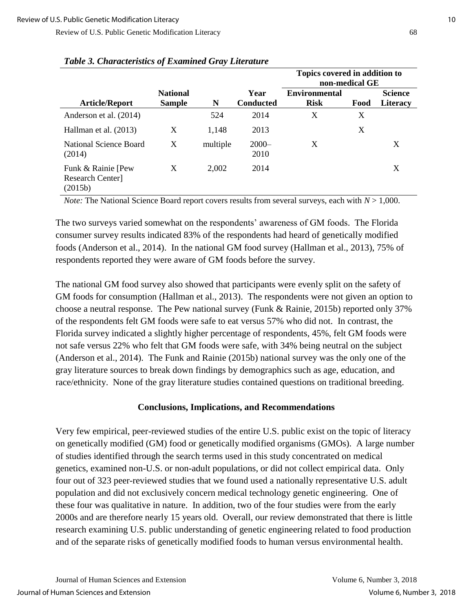|                                                  |                                  |          |                          | Topics covered in addition to<br>non-medical GE |      |                                   |
|--------------------------------------------------|----------------------------------|----------|--------------------------|-------------------------------------------------|------|-----------------------------------|
| <b>Article/Report</b>                            | <b>National</b><br><b>Sample</b> | N        | Year<br><b>Conducted</b> | <b>Environmental</b><br><b>Risk</b>             | Food | <b>Science</b><br><b>Literacy</b> |
|                                                  |                                  |          |                          |                                                 |      |                                   |
| Anderson et al. (2014)                           |                                  | 524      | 2014                     | X                                               | X    |                                   |
| Hallman et al. (2013)                            | X                                | 1,148    | 2013                     |                                                 | X    |                                   |
| National Science Board<br>(2014)                 | X                                | multiple | $2000 -$<br>2010         | X                                               |      | X                                 |
| Funk & Rainie [Pew<br>Research Center<br>(2015b) | X                                | 2,002    | 2014                     |                                                 |      | X                                 |

#### *Table 3. Characteristics of Examined Gray Literature*

*Note:* The National Science Board report covers results from several surveys, each with  $N > 1,000$ .

The two surveys varied somewhat on the respondents' awareness of GM foods. The Florida consumer survey results indicated 83% of the respondents had heard of genetically modified foods (Anderson et al., 2014). In the national GM food survey (Hallman et al., 2013), 75% of respondents reported they were aware of GM foods before the survey.

The national GM food survey also showed that participants were evenly split on the safety of GM foods for consumption (Hallman et al., 2013). The respondents were not given an option to choose a neutral response. The Pew national survey (Funk & Rainie, 2015b) reported only 37% of the respondents felt GM foods were safe to eat versus 57% who did not. In contrast, the Florida survey indicated a slightly higher percentage of respondents, 45%, felt GM foods were not safe versus 22% who felt that GM foods were safe, with 34% being neutral on the subject (Anderson et al., 2014). The Funk and Rainie (2015b) national survey was the only one of the gray literature sources to break down findings by demographics such as age, education, and race/ethnicity. None of the gray literature studies contained questions on traditional breeding.

#### **Conclusions, Implications, and Recommendations**

Very few empirical, peer-reviewed studies of the entire U.S. public exist on the topic of literacy on genetically modified (GM) food or genetically modified organisms (GMOs). A large number of studies identified through the search terms used in this study concentrated on medical genetics, examined non-U.S. or non-adult populations, or did not collect empirical data. Only four out of 323 peer-reviewed studies that we found used a nationally representative U.S. adult population and did not exclusively concern medical technology genetic engineering. One of these four was qualitative in nature. In addition, two of the four studies were from the early 2000s and are therefore nearly 15 years old. Overall, our review demonstrated that there is little research examining U.S. public understanding of genetic engineering related to food production and of the separate risks of genetically modified foods to human versus environmental health.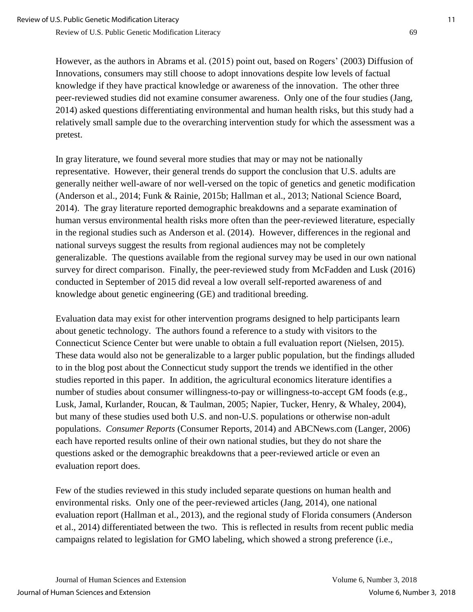However, as the authors in Abrams et al. (2015) point out, based on Rogers' (2003) Diffusion of Innovations, consumers may still choose to adopt innovations despite low levels of factual knowledge if they have practical knowledge or awareness of the innovation. The other three peer-reviewed studies did not examine consumer awareness. Only one of the four studies (Jang, 2014) asked questions differentiating environmental and human health risks, but this study had a relatively small sample due to the overarching intervention study for which the assessment was a pretest.

In gray literature, we found several more studies that may or may not be nationally representative. However, their general trends do support the conclusion that U.S. adults are generally neither well-aware of nor well-versed on the topic of genetics and genetic modification (Anderson et al., 2014; Funk & Rainie, 2015b; Hallman et al., 2013; National Science Board, 2014). The gray literature reported demographic breakdowns and a separate examination of human versus environmental health risks more often than the peer-reviewed literature, especially in the regional studies such as Anderson et al. (2014). However, differences in the regional and national surveys suggest the results from regional audiences may not be completely generalizable. The questions available from the regional survey may be used in our own national survey for direct comparison. Finally, the peer-reviewed study from McFadden and Lusk (2016) conducted in September of 2015 did reveal a low overall self-reported awareness of and knowledge about genetic engineering (GE) and traditional breeding.

Evaluation data may exist for other intervention programs designed to help participants learn about genetic technology. The authors found a reference to a study with visitors to the Connecticut Science Center but were unable to obtain a full evaluation report (Nielsen, 2015). These data would also not be generalizable to a larger public population, but the findings alluded to in the blog post about the Connecticut study support the trends we identified in the other studies reported in this paper. In addition, the agricultural economics literature identifies a number of studies about consumer willingness-to-pay or willingness-to-accept GM foods (e.g., Lusk, Jamal, Kurlander, Roucan, & Taulman, 2005; Napier, Tucker, Henry, & Whaley, 2004), but many of these studies used both U.S. and non-U.S. populations or otherwise non-adult populations. *Consumer Reports* (Consumer Reports, 2014) and ABCNews.com (Langer, 2006) each have reported results online of their own national studies, but they do not share the questions asked or the demographic breakdowns that a peer-reviewed article or even an evaluation report does.

Few of the studies reviewed in this study included separate questions on human health and environmental risks. Only one of the peer-reviewed articles (Jang, 2014), one national evaluation report (Hallman et al., 2013), and the regional study of Florida consumers (Anderson et al., 2014) differentiated between the two. This is reflected in results from recent public media campaigns related to legislation for GMO labeling, which showed a strong preference (i.e.,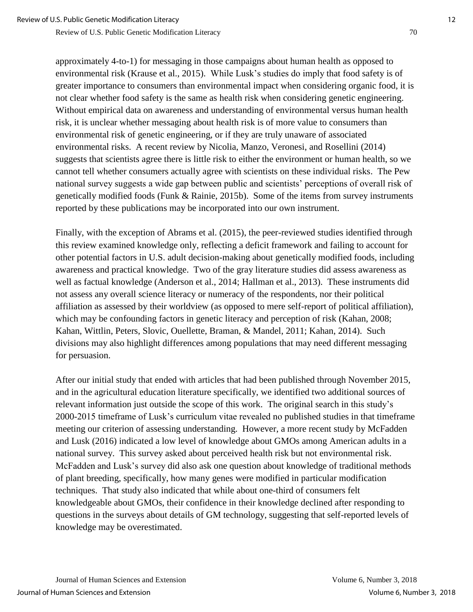approximately 4-to-1) for messaging in those campaigns about human health as opposed to environmental risk (Krause et al., 2015). While Lusk's studies do imply that food safety is of greater importance to consumers than environmental impact when considering organic food, it is not clear whether food safety is the same as health risk when considering genetic engineering. Without empirical data on awareness and understanding of environmental versus human health risk, it is unclear whether messaging about health risk is of more value to consumers than environmental risk of genetic engineering, or if they are truly unaware of associated environmental risks. A recent review by Nicolia, Manzo, Veronesi, and Rosellini (2014) suggests that scientists agree there is little risk to either the environment or human health, so we cannot tell whether consumers actually agree with scientists on these individual risks. The Pew national survey suggests a wide gap between public and scientists' perceptions of overall risk of genetically modified foods (Funk & Rainie, 2015b). Some of the items from survey instruments reported by these publications may be incorporated into our own instrument.

Finally, with the exception of Abrams et al. (2015), the peer-reviewed studies identified through this review examined knowledge only, reflecting a deficit framework and failing to account for other potential factors in U.S. adult decision-making about genetically modified foods, including awareness and practical knowledge. Two of the gray literature studies did assess awareness as well as factual knowledge (Anderson et al., 2014; Hallman et al., 2013). These instruments did not assess any overall science literacy or numeracy of the respondents, nor their political affiliation as assessed by their worldview (as opposed to mere self-report of political affiliation), which may be confounding factors in genetic literacy and perception of risk (Kahan, 2008; Kahan, Wittlin, Peters, Slovic, Ouellette, Braman, & Mandel, 2011; Kahan, 2014). Such divisions may also highlight differences among populations that may need different messaging for persuasion.

After our initial study that ended with articles that had been published through November 2015, and in the agricultural education literature specifically, we identified two additional sources of relevant information just outside the scope of this work. The original search in this study's 2000-2015 timeframe of Lusk's curriculum vitae revealed no published studies in that timeframe meeting our criterion of assessing understanding. However, a more recent study by McFadden and Lusk (2016) indicated a low level of knowledge about GMOs among American adults in a national survey. This survey asked about perceived health risk but not environmental risk. McFadden and Lusk's survey did also ask one question about knowledge of traditional methods of plant breeding, specifically, how many genes were modified in particular modification techniques. That study also indicated that while about one-third of consumers felt knowledgeable about GMOs, their confidence in their knowledge declined after responding to questions in the surveys about details of GM technology, suggesting that self-reported levels of knowledge may be overestimated.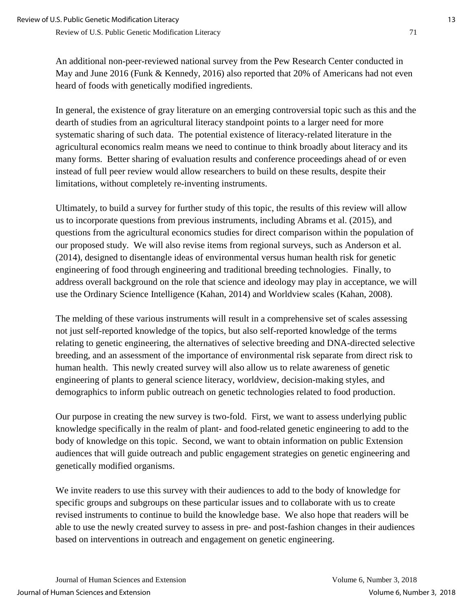An additional non-peer-reviewed national survey from the Pew Research Center conducted in May and June 2016 (Funk & Kennedy, 2016) also reported that 20% of Americans had not even heard of foods with genetically modified ingredients.

In general, the existence of gray literature on an emerging controversial topic such as this and the dearth of studies from an agricultural literacy standpoint points to a larger need for more systematic sharing of such data. The potential existence of literacy-related literature in the agricultural economics realm means we need to continue to think broadly about literacy and its many forms. Better sharing of evaluation results and conference proceedings ahead of or even instead of full peer review would allow researchers to build on these results, despite their limitations, without completely re-inventing instruments.

Ultimately, to build a survey for further study of this topic, the results of this review will allow us to incorporate questions from previous instruments, including Abrams et al. (2015), and questions from the agricultural economics studies for direct comparison within the population of our proposed study. We will also revise items from regional surveys, such as Anderson et al. (2014), designed to disentangle ideas of environmental versus human health risk for genetic engineering of food through engineering and traditional breeding technologies. Finally, to address overall background on the role that science and ideology may play in acceptance, we will use the Ordinary Science Intelligence (Kahan, 2014) and Worldview scales (Kahan, 2008).

The melding of these various instruments will result in a comprehensive set of scales assessing not just self-reported knowledge of the topics, but also self-reported knowledge of the terms relating to genetic engineering, the alternatives of selective breeding and DNA-directed selective breeding, and an assessment of the importance of environmental risk separate from direct risk to human health. This newly created survey will also allow us to relate awareness of genetic engineering of plants to general science literacy, worldview, decision-making styles, and demographics to inform public outreach on genetic technologies related to food production.

Our purpose in creating the new survey is two-fold. First, we want to assess underlying public knowledge specifically in the realm of plant- and food-related genetic engineering to add to the body of knowledge on this topic. Second, we want to obtain information on public Extension audiences that will guide outreach and public engagement strategies on genetic engineering and genetically modified organisms.

We invite readers to use this survey with their audiences to add to the body of knowledge for specific groups and subgroups on these particular issues and to collaborate with us to create revised instruments to continue to build the knowledge base. We also hope that readers will be able to use the newly created survey to assess in pre- and post-fashion changes in their audiences based on interventions in outreach and engagement on genetic engineering.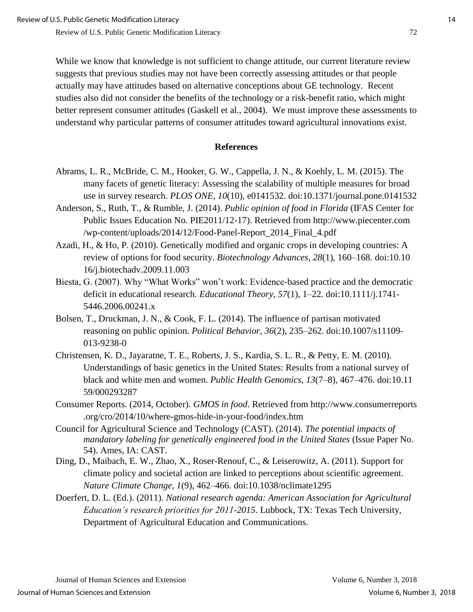While we know that knowledge is not sufficient to change attitude, our current literature review suggests that previous studies may not have been correctly assessing attitudes or that people actually may have attitudes based on alternative conceptions about GE technology. Recent studies also did not consider the benefits of the technology or a risk-benefit ratio, which might better represent consumer attitudes (Gaskell et al., 2004). We must improve these assessments to understand why particular patterns of consumer attitudes toward agricultural innovations exist.

#### **References**

- Abrams, L. R., McBride, C. M., Hooker, G. W., Cappella, J. N., & Koehly, L. M. (2015). The many facets of genetic literacy: Assessing the scalability of multiple measures for broad use in survey research. *PLOS ONE*, *10*(10), e0141532. doi:10.1371/journal.pone.0141532
- Anderson, S., Ruth, T., & Rumble, J. (2014). *Public opinion of food in Florida* (IFAS Center for Public Issues Education No. PIE2011/12-17). Retrieved from http://www.piecenter.com /wp-content/uploads/2014/12/Food-Panel-Report\_2014\_Final\_4.pdf
- Azadi, H., & Ho, P. (2010). Genetically modified and organic crops in developing countries: A review of options for food security. *Biotechnology Advances*, *28*(1), 160–168. doi:10.10 16/j.biotechadv.2009.11.003
- Biesta, G. (2007). Why "What Works" won't work: Evidence-based practice and the democratic deficit in educational research. *Educational Theory*, *57*(1), 1–22. doi:10.1111/j.1741- 5446.2006.00241.x
- Bolsen, T., Druckman, J. N., & Cook, F. L. (2014). The influence of partisan motivated reasoning on public opinion. *Political Behavior*, *36*(2), 235–262. doi:10.1007/s11109- 013-9238-0
- Christensen, K. D., Jayaratne, T. E., Roberts, J. S., Kardia, S. L. R., & Petty, E. M. (2010). Understandings of basic genetics in the United States: Results from a national survey of black and white men and women. *Public Health Genomics*, *13*(7–8), 467–476. doi:10.11 59/000293287
- Consumer Reports. (2014, October). *GMOS in food*. Retrieved from http://www.consumerreports .org/cro/2014/10/where-gmos-hide-in-your-food/index.htm
- Council for Agricultural Science and Technology (CAST). (2014). *The potential impacts of mandatory labeling for genetically engineered food in the United States* (Issue Paper No. 54). Ames, IA: CAST.
- Ding, D., Maibach, E. W., Zhao, X., Roser-Renouf, C., & Leiserowitz, A. (2011). Support for climate policy and societal action are linked to perceptions about scientific agreement. *Nature Climate Change, 1*(9), 462–466. doi:10.1038/nclimate1295
- Doerfert, D. L. (Ed.). (2011). *National research agenda: American Association for Agricultural Education's research priorities for 2011-2015*. Lubbock, TX: Texas Tech University, Department of Agricultural Education and Communications.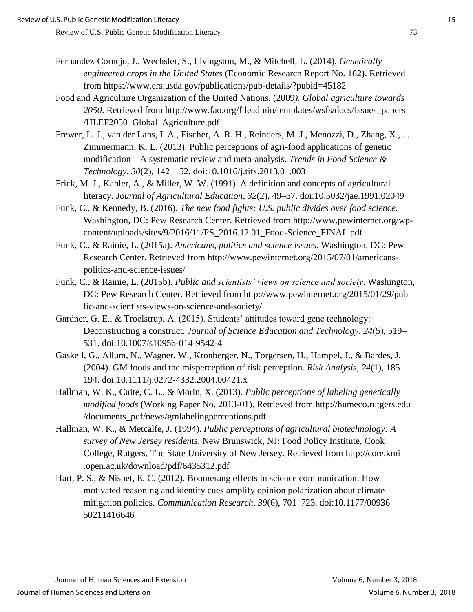- Fernandez-Cornejo, J., Wechsler, S., Livingston, M., & Mitchell, L. (2014). *Genetically engineered crops in the United States* (Economic Research Report No. 162). Retrieved from https://www.ers.usda.gov/publications/pub-details/?pubid=45182
- Food and Agriculture Organization of the United Nations. (2009*). Global agriculture towards 2050*. Retrieved from http://www.fao.org/fileadmin/templates/wsfs/docs/Issues\_papers /HLEF2050\_Global\_Agriculture.pdf
- Frewer, L. J., van der Lans, I. A., Fischer, A. R. H., Reinders, M. J., Menozzi, D., Zhang, X., . . . Zimmermann, K. L. (2013). Public perceptions of agri-food applications of genetic modification – A systematic review and meta-analysis. *Trends in Food Science & Technology*, *30*(2), 142–152. doi:10.1016/j.tifs.2013.01.003
- Frick, M. J., Kahler, A., & Miller, W. W. (1991). A definition and concepts of agricultural literacy. *Journal of Agricultural Education*, *32*(2), 49–57. doi:10.5032/jae.1991.02049
- Funk, C., & Kennedy, B. (2016). *The new food fights: U.S. public divides over food science*. Washington, DC: Pew Research Center. Retrieved from http://www.pewinternet.org/wpcontent/uploads/sites/9/2016/11/PS\_2016.12.01\_Food-Science\_FINAL.pdf
- Funk, C., & Rainie, L. (2015a). *Americans, politics and science issues*. Washington, DC: Pew Research Center. Retrieved from http://www.pewinternet.org/2015/07/01/americanspolitics-and-science-issues/
- Funk, C., & Rainie, L. (2015b). *Public and scientists' views on science and society*. Washington, DC: Pew Research Center. Retrieved from http://www.pewinternet.org/2015/01/29/pub lic-and-scientists-views-on-science-and-society/
- Gardner, G. E., & Troelstrup, A. (2015). Students' attitudes toward gene technology: Deconstructing a construct. *Journal of Science Education and Technology*, *24*(5), 519– 531. doi:10.1007/s10956-014-9542-4
- Gaskell, G., Allum, N., Wagner, W., Kronberger, N., Torgersen, H., Hampel, J., & Bardes, J. (2004). GM foods and the misperception of risk perception. *Risk Analysis*, *24*(1), 185– 194. doi:10.1111/j.0272-4332.2004.00421.x
- Hallman, W. K., Cuite, C. L., & Morin, X. (2013). *Public perceptions of labeling genetically modified foods* (Working Paper No. 2013-01). Retrieved from http://humeco.rutgers.edu /documents\_pdf/news/gmlabelingperceptions.pdf
- Hallman, W. K., & Metcalfe, J. (1994). *Public perceptions of agricultural biotechnology: A survey of New Jersey residents*. New Brunswick, NJ: Food Policy Institute, Cook College, Rutgers, The State University of New Jersey. Retrieved from http://core.kmi .open.ac.uk/download/pdf/6435312.pdf
- Hart, P. S., & Nisbet, E. C. (2012). Boomerang effects in science communication: How motivated reasoning and identity cues amplify opinion polarization about climate mitigation policies. *Communication Research*, *39*(6), 701–723. doi:10.1177/00936 50211416646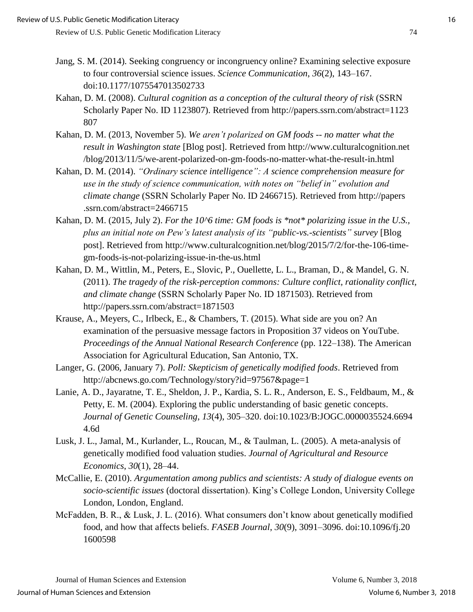- Jang, S. M. (2014). Seeking congruency or incongruency online? Examining selective exposure to four controversial science issues. *Science Communication*, *36*(2), 143–167. doi:10.1177/1075547013502733
- Kahan, D. M. (2008). *Cultural cognition as a conception of the cultural theory of risk* (SSRN Scholarly Paper No. ID 1123807). Retrieved from http://papers.ssrn.com/abstract=1123 807
- Kahan, D. M. (2013, November 5). *We aren't polarized on GM foods -- no matter what the result in Washington state* [Blog post]. Retrieved from http://www.culturalcognition.net /blog/2013/11/5/we-arent-polarized-on-gm-foods-no-matter-what-the-result-in.html
- Kahan, D. M. (2014). *"Ordinary science intelligence": A science comprehension measure for use in the study of science communication, with notes on "belief in" evolution and climate change* (SSRN Scholarly Paper No. ID 2466715). Retrieved from http://papers .ssrn.com/abstract=2466715
- Kahan, D. M. (2015, July 2). *For the 10^6 time: GM foods is \*not\* polarizing issue in the U.S., plus an initial note on Pew's latest analysis of its "public-vs.-scientists" survey* [Blog post]. Retrieved from http://www.culturalcognition.net/blog/2015/7/2/for-the-106-timegm-foods-is-not-polarizing-issue-in-the-us.html
- Kahan, D. M., Wittlin, M., Peters, E., Slovic, P., Ouellette, L. L., Braman, D., & Mandel, G. N. (2011). *The tragedy of the risk-perception commons: Culture conflict, rationality conflict, and climate change* (SSRN Scholarly Paper No. ID 1871503). Retrieved from http://papers.ssrn.com/abstract=1871503
- Krause, A., Meyers, C., Irlbeck, E., & Chambers, T. (2015). What side are you on? An examination of the persuasive message factors in Proposition 37 videos on YouTube. *Proceedings of the Annual National Research Conference* (pp. 122–138). The American Association for Agricultural Education, San Antonio, TX.
- Langer, G. (2006, January 7). *Poll: Skepticism of genetically modified foods*. Retrieved from http://abcnews.go.com/Technology/story?id=97567&page=1
- Lanie, A. D., Jayaratne, T. E., Sheldon, J. P., Kardia, S. L. R., Anderson, E. S., Feldbaum, M., & Petty, E. M. (2004). Exploring the public understanding of basic genetic concepts. *Journal of Genetic Counseling*, *13*(4), 305–320. doi:10.1023/B:JOGC.0000035524.6694 4.6d
- Lusk, J. L., Jamal, M., Kurlander, L., Roucan, M., & Taulman, L. (2005). A meta-analysis of genetically modified food valuation studies. *Journal of Agricultural and Resource Economics*, *30*(1), 28–44.
- McCallie, E. (2010). *Argumentation among publics and scientists: A study of dialogue events on socio-scientific issues* (doctoral dissertation). King's College London, University College London, London, England.
- McFadden, B. R., & Lusk, J. L. (2016). What consumers don't know about genetically modified food, and how that affects beliefs. *FASEB Journal*, *30*(9), 3091–3096. doi:10.1096/fj.20 1600598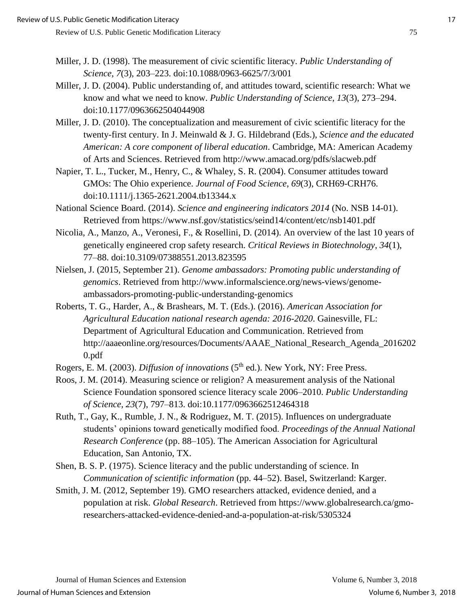- Miller, J. D. (1998). The measurement of civic scientific literacy. *Public Understanding of Science*, *7*(3), 203–223. doi:10.1088/0963-6625/7/3/001
- Miller, J. D. (2004). Public understanding of, and attitudes toward, scientific research: What we know and what we need to know. *Public Understanding of Science, 13*(3), 273–294. doi:10.1177/0963662504044908
- Miller, J. D. (2010). The conceptualization and measurement of civic scientific literacy for the twenty-first century. In J. Meinwald & J. G. Hildebrand (Eds.), *Science and the educated American: A core component of liberal education*. Cambridge, MA: American Academy of Arts and Sciences. Retrieved from http://www.amacad.org/pdfs/slacweb.pdf
- Napier, T. L., Tucker, M., Henry, C., & Whaley, S. R. (2004). Consumer attitudes toward GMOs: The Ohio experience. *Journal of Food Science*, *69*(3), CRH69-CRH76. doi:10.1111/j.1365-2621.2004.tb13344.x
- National Science Board. (2014). *Science and engineering indicators 2014* (No. NSB 14-01). Retrieved from https://www.nsf.gov/statistics/seind14/content/etc/nsb1401.pdf
- Nicolia, A., Manzo, A., Veronesi, F., & Rosellini, D. (2014). An overview of the last 10 years of genetically engineered crop safety research. *Critical Reviews in Biotechnology*, *34*(1), 77–88. doi:10.3109/07388551.2013.823595
- Nielsen, J. (2015, September 21). *Genome ambassadors: Promoting public understanding of genomics*. Retrieved from http://www.informalscience.org/news-views/genomeambassadors-promoting-public-understanding-genomics
- Roberts, T. G., Harder, A., & Brashears, M. T. (Eds.). (2016). *American Association for Agricultural Education national research agenda: 2016-2020*. Gainesville, FL: Department of Agricultural Education and Communication. Retrieved from http://aaaeonline.org/resources/Documents/AAAE\_National\_Research\_Agenda\_2016202 0.pdf
- Rogers, E. M. (2003). *Diffusion of innovations* (5<sup>th</sup> ed.). New York, NY: Free Press.
- Roos, J. M. (2014). Measuring science or religion? A measurement analysis of the National Science Foundation sponsored science literacy scale 2006–2010. *Public Understanding of Science, 23*(7), 797–813. doi:10.1177/0963662512464318
- Ruth, T., Gay, K., Rumble, J. N., & Rodriguez, M. T. (2015). Influences on undergraduate students' opinions toward genetically modified food. *Proceedings of the Annual National Research Conference* (pp. 88–105). The American Association for Agricultural Education, San Antonio, TX.
- Shen, B. S. P. (1975). Science literacy and the public understanding of science. In *Communication of scientific information* (pp. 44–52). Basel, Switzerland: Karger.
- Smith, J. M. (2012, September 19). GMO researchers attacked, evidence denied, and a population at risk. *Global Research*. Retrieved from https://www.globalresearch.ca/gmoresearchers-attacked-evidence-denied-and-a-population-at-risk/5305324